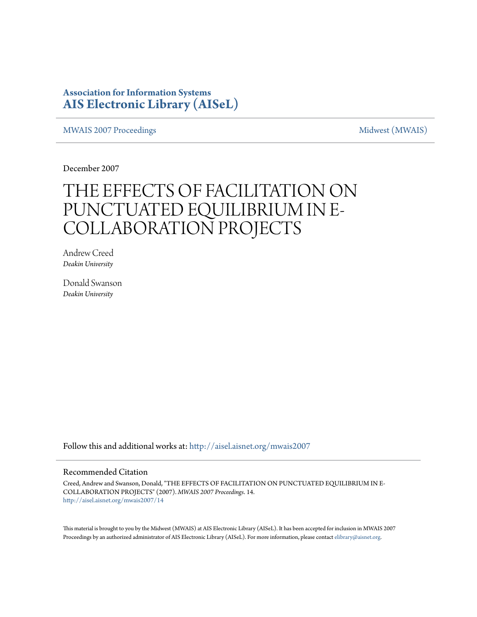### **Association for Information Systems [AIS Electronic Library \(AISeL\)](http://aisel.aisnet.org?utm_source=aisel.aisnet.org%2Fmwais2007%2F14&utm_medium=PDF&utm_campaign=PDFCoverPages)**

[MWAIS 2007 Proceedings](http://aisel.aisnet.org/mwais2007?utm_source=aisel.aisnet.org%2Fmwais2007%2F14&utm_medium=PDF&utm_campaign=PDFCoverPages) and the matrix of the [Midwest \(MWAIS\)](http://aisel.aisnet.org/mwais?utm_source=aisel.aisnet.org%2Fmwais2007%2F14&utm_medium=PDF&utm_campaign=PDFCoverPages)

December 2007

# THE EFFECTS OF FACILITATION ON PUNCTUATED EQUILIBRIUM IN E-COLLABORATION PROJECTS

Andrew Creed *Deakin University*

Donald Swanson *Deakin University*

Follow this and additional works at: [http://aisel.aisnet.org/mwais2007](http://aisel.aisnet.org/mwais2007?utm_source=aisel.aisnet.org%2Fmwais2007%2F14&utm_medium=PDF&utm_campaign=PDFCoverPages)

#### Recommended Citation

Creed, Andrew and Swanson, Donald, "THE EFFECTS OF FACILITATION ON PUNCTUATED EQUILIBRIUM IN E-COLLABORATION PROJECTS" (2007). *MWAIS 2007 Proceedings*. 14. [http://aisel.aisnet.org/mwais2007/14](http://aisel.aisnet.org/mwais2007/14?utm_source=aisel.aisnet.org%2Fmwais2007%2F14&utm_medium=PDF&utm_campaign=PDFCoverPages)

This material is brought to you by the Midwest (MWAIS) at AIS Electronic Library (AISeL). It has been accepted for inclusion in MWAIS 2007 Proceedings by an authorized administrator of AIS Electronic Library (AISeL). For more information, please contact [elibrary@aisnet.org](mailto:elibrary@aisnet.org%3E).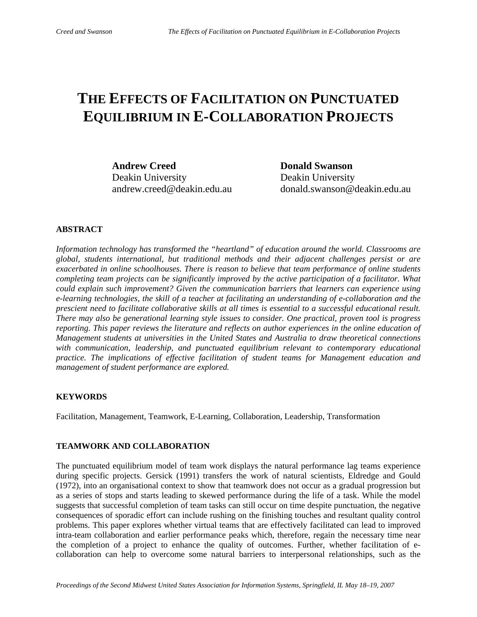## **THE EFFECTS OF FACILITATION ON PUNCTUATED EQUILIBRIUM IN E-COLLABORATION PROJECTS**

Andrew Creed **Donald Swanson** Deakin University Deakin University

andrew.creed@deakin.edu.au donald.swanson@deakin.edu.au

#### **ABSTRACT**

*Information technology has transformed the "heartland" of education around the world. Classrooms are global, students international, but traditional methods and their adjacent challenges persist or are exacerbated in online schoolhouses. There is reason to believe that team performance of online students completing team projects can be significantly improved by the active participation of a facilitator. What could explain such improvement? Given the communication barriers that learners can experience using e-learning technologies, the skill of a teacher at facilitating an understanding of e-collaboration and the prescient need to facilitate collaborative skills at all times is essential to a successful educational result. There may also be generational learning style issues to consider. One practical, proven tool is progress reporting. This paper reviews the literature and reflects on author experiences in the online education of Management students at universities in the United States and Australia to draw theoretical connections with communication, leadership, and punctuated equilibrium relevant to contemporary educational practice. The implications of effective facilitation of student teams for Management education and management of student performance are explored.* 

#### **KEYWORDS**

Facilitation, Management, Teamwork, E-Learning, Collaboration, Leadership, Transformation

#### **TEAMWORK AND COLLABORATION**

The punctuated equilibrium model of team work displays the natural performance lag teams experience during specific projects. Gersick (1991) transfers the work of natural scientists, Eldredge and Gould (1972), into an organisational context to show that teamwork does not occur as a gradual progression but as a series of stops and starts leading to skewed performance during the life of a task. While the model suggests that successful completion of team tasks can still occur on time despite punctuation, the negative consequences of sporadic effort can include rushing on the finishing touches and resultant quality control problems. This paper explores whether virtual teams that are effectively facilitated can lead to improved intra-team collaboration and earlier performance peaks which, therefore, regain the necessary time near the completion of a project to enhance the quality of outcomes. Further, whether facilitation of ecollaboration can help to overcome some natural barriers to interpersonal relationships, such as the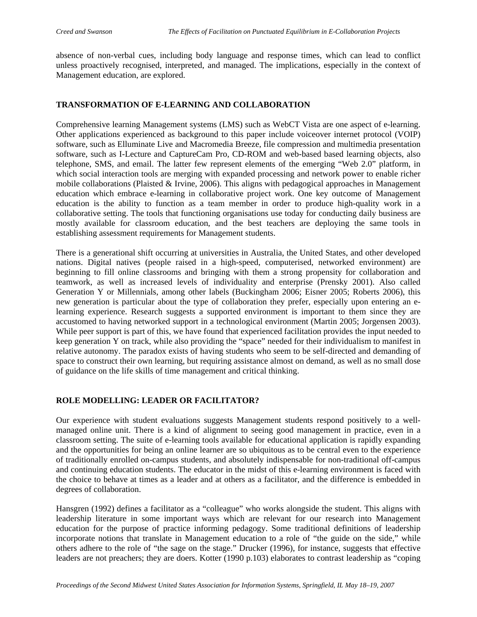absence of non-verbal cues, including body language and response times, which can lead to conflict unless proactively recognised, interpreted, and managed. The implications, especially in the context of Management education, are explored.

#### **TRANSFORMATION OF E-LEARNING AND COLLABORATION**

Comprehensive learning Management systems (LMS) such as WebCT Vista are one aspect of e-learning. Other applications experienced as background to this paper include voiceover internet protocol (VOIP) software, such as Elluminate Live and Macromedia Breeze, file compression and multimedia presentation software, such as I-Lecture and CaptureCam Pro, CD-ROM and web-based based learning objects, also telephone, SMS, and email. The latter few represent elements of the emerging "Web 2.0" platform, in which social interaction tools are merging with expanded processing and network power to enable richer mobile collaborations (Plaisted & Irvine, 2006). This aligns with pedagogical approaches in Management education which embrace e-learning in collaborative project work. One key outcome of Management education is the ability to function as a team member in order to produce high-quality work in a collaborative setting. The tools that functioning organisations use today for conducting daily business are mostly available for classroom education, and the best teachers are deploying the same tools in establishing assessment requirements for Management students.

There is a generational shift occurring at universities in Australia, the United States, and other developed nations. Digital natives (people raised in a high-speed, computerised, networked environment) are beginning to fill online classrooms and bringing with them a strong propensity for collaboration and teamwork, as well as increased levels of individuality and enterprise (Prensky 2001). Also called Generation Y or Millennials, among other labels (Buckingham 2006; Eisner 2005; Roberts 2006), this new generation is particular about the type of collaboration they prefer, especially upon entering an elearning experience. Research suggests a supported environment is important to them since they are accustomed to having networked support in a technological environment (Martin 2005; Jorgensen 2003). While peer support is part of this, we have found that experienced facilitation provides the input needed to keep generation Y on track, while also providing the "space" needed for their individualism to manifest in relative autonomy. The paradox exists of having students who seem to be self-directed and demanding of space to construct their own learning, but requiring assistance almost on demand, as well as no small dose of guidance on the life skills of time management and critical thinking.

#### **ROLE MODELLING: LEADER OR FACILITATOR?**

Our experience with student evaluations suggests Management students respond positively to a wellmanaged online unit. There is a kind of alignment to seeing good management in practice, even in a classroom setting. The suite of e-learning tools available for educational application is rapidly expanding and the opportunities for being an online learner are so ubiquitous as to be central even to the experience of traditionally enrolled on-campus students, and absolutely indispensable for non-traditional off-campus and continuing education students. The educator in the midst of this e-learning environment is faced with the choice to behave at times as a leader and at others as a facilitator, and the difference is embedded in degrees of collaboration.

Hansgren (1992) defines a facilitator as a "colleague" who works alongside the student. This aligns with leadership literature in some important ways which are relevant for our research into Management education for the purpose of practice informing pedagogy. Some traditional definitions of leadership incorporate notions that translate in Management education to a role of "the guide on the side," while others adhere to the role of "the sage on the stage." Drucker (1996), for instance, suggests that effective leaders are not preachers; they are doers. Kotter (1990 p.103) elaborates to contrast leadership as "coping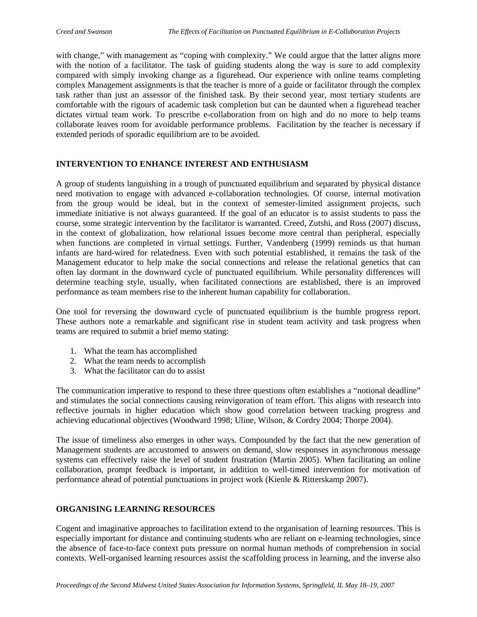with change," with management as "coping with complexity." We could argue that the latter aligns more with the notion of a facilitator. The task of guiding students along the way is sure to add complexity compared with simply invoking change as a figurehead. Our experience with online teams completing complex Management assignments is that the teacher is more of a guide or facilitator through the complex task rather than just an assessor of the finished task. By their second year, most tertiary students are comfortable with the rigours of academic task completion but can be daunted when a figurehead teacher dictates virtual team work. To prescribe e-collaboration from on high and do no more to help teams collaborate leaves room for avoidable performance problems. Facilitation by the teacher is necessary if extended periods of sporadic equilibrium are to be avoided.

#### **INTERVENTION TO ENHANCE INTEREST AND ENTHUSIASM**

A group of students languishing in a trough of punctuated equilibrium and separated by physical distance need motivation to engage with advanced e-collaboration technologies. Of course, internal motivation from the group would be ideal, but in the context of semester-limited assignment projects, such immediate initiative is not always guaranteed. If the goal of an educator is to assist students to pass the course, some strategic intervention by the facilitator is warranted. Creed, Zutshi, and Ross (2007) discuss, in the context of globalization, how relational issues become more central than peripheral, especially when functions are completed in virtual settings. Further, Vandenberg (1999) reminds us that human infants are hard-wired for relatedness. Even with such potential established, it remains the task of the Management educator to help make the social connections and release the relational genetics that can often lay dormant in the downward cycle of punctuated equilibrium. While personality differences will determine teaching style, usually, when facilitated connections are established, there is an improved performance as team members rise to the inherent human capability for collaboration.

One tool for reversing the downward cycle of punctuated equilibrium is the humble progress report. These authors note a remarkable and significant rise in student team activity and task progress when teams are required to submit a brief memo stating:

- 1. What the team has accomplished
- 2. What the team needs to accomplish
- 3. What the facilitator can do to assist

The communication imperative to respond to these three questions often establishes a "notional deadline" and stimulates the social connections causing reinvigoration of team effort. This aligns with research into reflective journals in higher education which show good correlation between tracking progress and achieving educational objectives (Woodward 1998; Uline, Wilson, & Cordry 2004; Thorpe 2004).

The issue of timeliness also emerges in other ways. Compounded by the fact that the new generation of Management students are accustomed to answers on demand, slow responses in asynchronous message systems can effectively raise the level of student frustration (Martin 2005). When facilitating an online collaboration, prompt feedback is important, in addition to well-timed intervention for motivation of performance ahead of potential punctuations in project work (Kienle & Ritterskamp 2007).

#### **ORGANISING LEARNING RESOURCES**

Cogent and imaginative approaches to facilitation extend to the organisation of learning resources. This is especially important for distance and continuing students who are reliant on e-learning technologies, since the absence of face-to-face context puts pressure on normal human methods of comprehension in social contexts. Well-organised learning resources assist the scaffolding process in learning, and the inverse also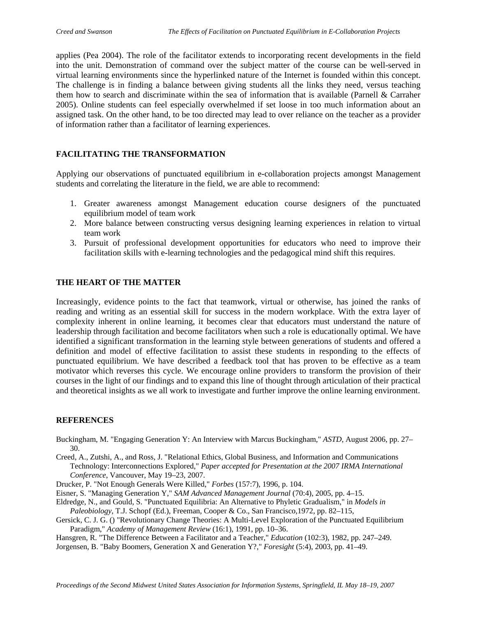applies (Pea 2004). The role of the facilitator extends to incorporating recent developments in the field into the unit. Demonstration of command over the subject matter of the course can be well-served in virtual learning environments since the hyperlinked nature of the Internet is founded within this concept. The challenge is in finding a balance between giving students all the links they need, versus teaching them how to search and discriminate within the sea of information that is available (Parnell & Carraher 2005). Online students can feel especially overwhelmed if set loose in too much information about an assigned task. On the other hand, to be too directed may lead to over reliance on the teacher as a provider of information rather than a facilitator of learning experiences.

#### **FACILITATING THE TRANSFORMATION**

Applying our observations of punctuated equilibrium in e-collaboration projects amongst Management students and correlating the literature in the field, we are able to recommend:

- 1. Greater awareness amongst Management education course designers of the punctuated equilibrium model of team work
- 2. More balance between constructing versus designing learning experiences in relation to virtual team work
- 3. Pursuit of professional development opportunities for educators who need to improve their facilitation skills with e-learning technologies and the pedagogical mind shift this requires.

#### **THE HEART OF THE MATTER**

Increasingly, evidence points to the fact that teamwork, virtual or otherwise, has joined the ranks of reading and writing as an essential skill for success in the modern workplace. With the extra layer of complexity inherent in online learning, it becomes clear that educators must understand the nature of leadership through facilitation and become facilitators when such a role is educationally optimal. We have identified a significant transformation in the learning style between generations of students and offered a definition and model of effective facilitation to assist these students in responding to the effects of punctuated equilibrium. We have described a feedback tool that has proven to be effective as a team motivator which reverses this cycle. We encourage online providers to transform the provision of their courses in the light of our findings and to expand this line of thought through articulation of their practical and theoretical insights as we all work to investigate and further improve the online learning environment.

#### **REFERENCES**

Buckingham, M. "Engaging Generation Y: An Interview with Marcus Buckingham," *ASTD*, August 2006, pp. 27– 30.

Creed, A., Zutshi, A., and Ross, J. "Relational Ethics, Global Business, and Information and Communications Technology: Interconnections Explored," *Paper accepted for Presentation at the 2007 IRMA International Conference*, Vancouver, May 19–23, 2007.

Drucker, P. "Not Enough Generals Were Killed," *Forbes* (157:7), 1996, p. 104.

- Eisner, S. "Managing Generation Y," *SAM Advanced Management Journal* (70:4), 2005, pp. 4–15.
- Eldredge, N., and Gould, S. "Punctuated Equilibria: An Alternative to Phyletic Gradualism," in *Models in*
- *Paleobiology*, T.J. Schopf (Ed.), Freeman, Cooper & Co., San Francisco,1972, pp. 82–115,
- Gersick, C. J. G. () "Revolutionary Change Theories: A Multi-Level Exploration of the Punctuated Equilibrium Paradigm," *Academy of Management Review* (16:1), 1991, pp. 10–36.

Hansgren, R. "The Difference Between a Facilitator and a Teacher," *Education* (102:3), 1982, pp. 247–249.

Jorgensen, B. "Baby Boomers, Generation X and Generation Y?," *Foresight* (5:4), 2003, pp. 41–49.